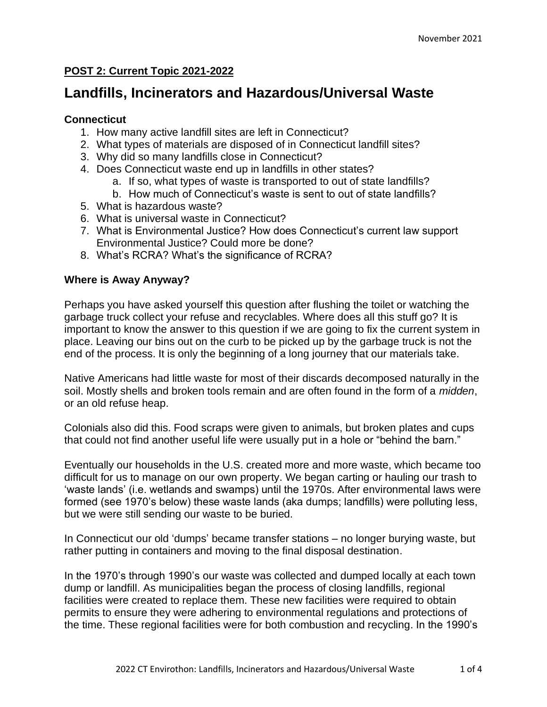## **POST 2: Current Topic 2021-2022**

# **Landfills, Incinerators and Hazardous/Universal Waste**

### **Connecticut**

- 1. How many active landfill sites are left in Connecticut?
- 2. What types of materials are disposed of in Connecticut landfill sites?
- 3. Why did so many landfills close in Connecticut?
- 4. Does Connecticut waste end up in landfills in other states?
	- a. If so, what types of waste is transported to out of state landfills?
	- b. How much of Connecticut's waste is sent to out of state landfills?
- 5. What is hazardous waste?
- 6. What is universal waste in Connecticut?
- 7. What is Environmental Justice? How does Connecticut's current law support Environmental Justice? Could more be done?
- 8. What's RCRA? What's the significance of RCRA?

#### **Where is Away Anyway?**

Perhaps you have asked yourself this question after flushing the toilet or watching the garbage truck collect your refuse and recyclables. Where does all this stuff go? It is important to know the answer to this question if we are going to fix the current system in place. Leaving our bins out on the curb to be picked up by the garbage truck is not the end of the process. It is only the beginning of a long journey that our materials take.

Native Americans had little waste for most of their discards decomposed naturally in the soil. Mostly shells and broken tools remain and are often found in the form of a *midden*, or an old refuse heap.

Colonials also did this. Food scraps were given to animals, but broken plates and cups that could not find another useful life were usually put in a hole or "behind the barn."

Eventually our households in the U.S. created more and more waste, which became too difficult for us to manage on our own property. We began carting or hauling our trash to 'waste lands' (i.e. wetlands and swamps) until the 1970s. After environmental laws were formed (see 1970's below) these waste lands (aka dumps; landfills) were polluting less, but we were still sending our waste to be buried.

In Connecticut our old 'dumps' became transfer stations – no longer burying waste, but rather putting in containers and moving to the final disposal destination.

In the 1970's through 1990's our waste was collected and dumped locally at each town dump or landfill. As municipalities began the process of closing landfills, regional facilities were created to replace them. These new facilities were required to obtain permits to ensure they were adhering to environmental regulations and protections of the time. These regional facilities were for both combustion and recycling. In the 1990's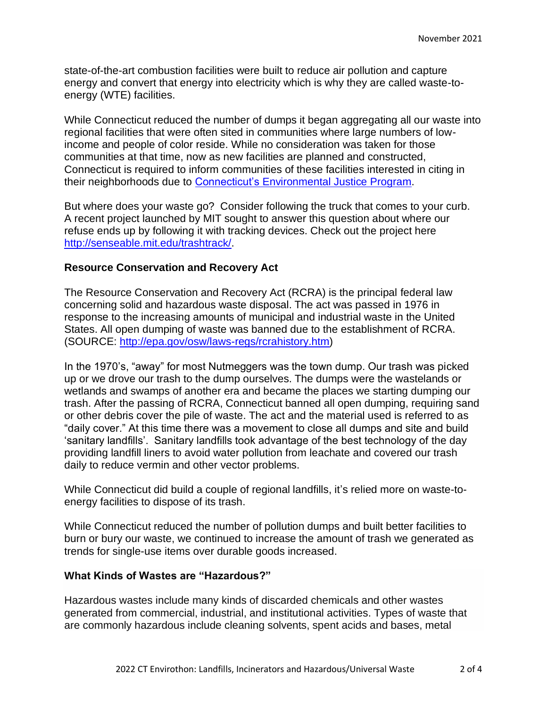state-of-the-art combustion facilities were built to reduce air pollution and capture energy and convert that energy into electricity which is why they are called waste-toenergy (WTE) facilities.

While Connecticut reduced the number of dumps it began aggregating all our waste into regional facilities that were often sited in communities where large numbers of lowincome and people of color reside. While no consideration was taken for those communities at that time, now as new facilities are planned and constructed, Connecticut is required to inform communities of these facilities interested in citing in their neighborhoods due to Connecticut's [Environmental Justice](https://portal.ct.gov/DEEP/Environmental-Justice/Environmental-Justice) Program.

But where does your waste go? Consider following the truck that comes to your curb. A recent project launched by MIT sought to answer this question about where our refuse ends up by following it with tracking devices. Check out the project here [http://senseable.mit.edu/trashtrack/.](http://senseable.mit.edu/trashtrack/)

#### **Resource Conservation and Recovery Act**

The Resource Conservation and Recovery Act (RCRA) is the principal federal law concerning solid and hazardous waste disposal. The act was passed in 1976 in response to the increasing amounts of municipal and industrial waste in the United States. All open dumping of waste was banned due to the establishment of RCRA. (SOURCE: [http://epa.gov/osw/laws-regs/rcrahistory.htm\)](http://epa.gov/osw/laws-regs/rcrahistory.htm)

In the 1970's, "away" for most Nutmeggers was the town dump. Our trash was picked up or we drove our trash to the dump ourselves. The dumps were the wastelands or wetlands and swamps of another era and became the places we starting dumping our trash. After the passing of RCRA, Connecticut banned all open dumping, requiring sand or other debris cover the pile of waste. The act and the material used is referred to as "daily cover." At this time there was a movement to close all dumps and site and build 'sanitary landfills'. Sanitary landfills took advantage of the best technology of the day providing landfill liners to avoid water pollution from leachate and covered our trash daily to reduce vermin and other vector problems.

While Connecticut did build a couple of regional landfills, it's relied more on waste-toenergy facilities to dispose of its trash.

While Connecticut reduced the number of pollution dumps and built better facilities to burn or bury our waste, we continued to increase the amount of trash we generated as trends for single-use items over durable goods increased.

#### **What Kinds of Wastes are "Hazardous?"**

Hazardous wastes include many kinds of discarded chemicals and other wastes generated from commercial, industrial, and institutional activities. Types of waste that are commonly hazardous include cleaning solvents, spent acids and bases, metal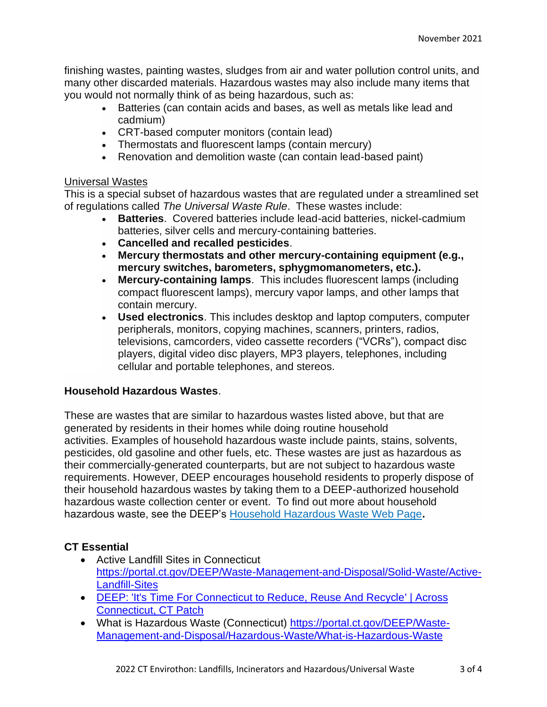finishing wastes, painting wastes, sludges from air and water pollution control units, and many other discarded materials. Hazardous wastes may also include many items that you would not normally think of as being hazardous, such as:

- Batteries (can contain acids and bases, as well as metals like lead and cadmium)
- CRT-based computer monitors (contain lead)
- Thermostats and fluorescent lamps (contain mercury)
- Renovation and demolition waste (can contain lead-based paint)

## Universal Wastes

This is a special subset of hazardous wastes that are regulated under a streamlined set of regulations called *The Universal Waste Rule*. These wastes include:

- **Batteries**. Covered batteries include lead-acid batteries, nickel-cadmium batteries, silver cells and mercury-containing batteries.
- **Cancelled and recalled pesticides**.
- **Mercury thermostats and other mercury-containing equipment (e.g., mercury switches, barometers, sphygmomanometers, etc.).**
- **Mercury-containing lamps**. This includes fluorescent lamps (including compact fluorescent lamps), mercury vapor lamps, and other lamps that contain mercury.
- **Used electronics**. This includes desktop and laptop computers, computer peripherals, monitors, copying machines, scanners, printers, radios, televisions, camcorders, video cassette recorders ("VCRs"), compact disc players, digital video disc players, MP3 players, telephones, including cellular and portable telephones, and stereos.

## **Household Hazardous Wastes**.

These are wastes that are similar to hazardous wastes listed above, but that are generated by residents in their homes while doing routine household activities. Examples of household hazardous waste include paints, stains, solvents, pesticides, old gasoline and other fuels, etc. These wastes are just as hazardous as their commercially-generated counterparts, but are not subject to hazardous waste requirements. However, DEEP encourages household residents to properly dispose of their household hazardous wastes by taking them to a DEEP-authorized household hazardous waste collection center or event. To find out more about household hazardous waste, see the DEEP's [Household Hazardous Waste Web Page](https://portal.ct.gov/DEEP/Waste-Management-and-Disposal/Household-Hazardous-Waste/HHW-Home)**.**

# **CT Essential**

- Active Landfill Sites in Connecticut [https://portal.ct.gov/DEEP/Waste-Management-and-Disposal/Solid-Waste/Active-](https://portal.ct.gov/DEEP/Waste-Management-and-Disposal/Solid-Waste/Active-Landfill-Sites)[Landfill-Sites](https://portal.ct.gov/DEEP/Waste-Management-and-Disposal/Solid-Waste/Active-Landfill-Sites)
- [DEEP: 'It's Time For Connecticut to Reduce, Reuse And Recycle' | Across](https://patch.com/connecticut/across-ct/deep-it-s-time-connecticut-reduce-reuse-recycle)  [Connecticut, CT Patch](https://patch.com/connecticut/across-ct/deep-it-s-time-connecticut-reduce-reuse-recycle)
- What is Hazardous Waste (Connecticut) [https://portal.ct.gov/DEEP/Waste-](https://portal.ct.gov/DEEP/Waste-Management-and-Disposal/Hazardous-Waste/What-is-Hazardous-Waste)[Management-and-Disposal/Hazardous-Waste/What-is-Hazardous-Waste](https://portal.ct.gov/DEEP/Waste-Management-and-Disposal/Hazardous-Waste/What-is-Hazardous-Waste)